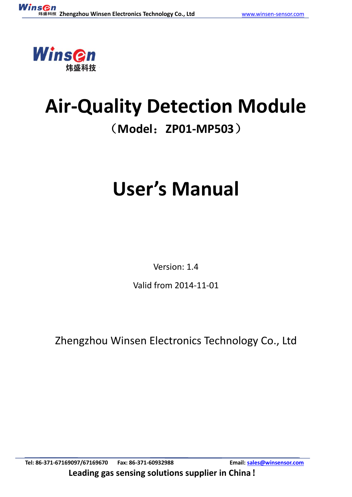

## **Air-Quality Detection Module** (**Model**:**ZP01-MP503**)

# **User's Manual**

Version: 1.4

Valid from 2014-11-01

Zhengzhou Winsen Electronics Technology Co., Ltd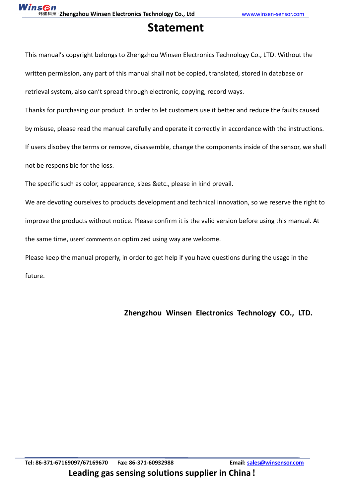## **Statement**

This manual's copyright belongs to Zhengzhou Winsen Electronics Technology Co., LTD. Without the written permission, any part of this manual shall not be copied, translated, stored in database or retrieval system, also can't spread through electronic, copying, record ways.

Thanks for purchasing our product. In order to let customers use it better and reduce the faults caused by misuse, please read the manual carefully and operate it correctly in accordance with the instructions. If users disobey the terms or remove, disassemble, change the components inside of the sensor, we shall not be responsible for the loss.

The specific such as color, appearance, sizes &etc., please in kind prevail.

We are devoting ourselves to products development and technical innovation, so we reserve the right to improve the products without notice. Please confirm it is the valid version before using this manual. At the same time, users' comments on optimized using way are welcome.

Please keep the manual properly, in order to get help if you have questions during the usage in the future.

#### **Zhengzhou Winsen Electronics Technology CO., LTD.**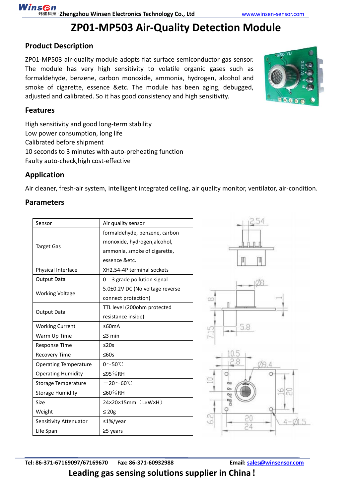## **ZP01-MP503 Air-Quality Detection Module**

#### **Product Description**

ZP01-MP503 air-quality module adopts flat surface semiconductor gas sensor. The module has very high sensitivity to volatile organic gases such as [formaldehyde,](app:ds:formaldehyde) [benzene,](app:ds:benzene) [carbon](app:ds:carbon) [monoxide,](app:ds:monoxide) [ammonia,](app:ds:ammonia) [hydrogen,](app:ds:hydrogen) alcohol and smoke of [cigarette,](app:ds:cigarette) essence &etc. The module has been aging, debugged, adjusted and calibrated. So it has good [consistency](app:ds:consistency) and high sensitivity.



#### **Features**

High sensitivity and good long-term stability Low power consumption, long life Calibrated before shipment 10 seconds to 3 minutes with auto-preheating function Faulty auto-check,high cost-effective

#### **Application**

[Air](app:ds:air) [cleaner,](app:ds:cleaner) fresh-air system, intelligent integrated ceiling, air quality monitor, ventilator, [air-condition.](app:ds:air-condition)

#### **Parameters**

| Sensor                       | Air quality sensor                            |  |
|------------------------------|-----------------------------------------------|--|
|                              | formaldehyde, benzene, carbon                 |  |
| <b>Target Gas</b>            | monoxide, hydrogen, alcohol,                  |  |
|                              | ammonia, smoke of cigarette,                  |  |
|                              | essence &etc.                                 |  |
| Physical Interface           | XH2.54-4P terminal sockets                    |  |
| Output Data                  | $0-3$ grade pollution signal                  |  |
| <b>Working Voltage</b>       | 5.0±0.2V DC (No voltage reverse               |  |
|                              | connect protection)                           |  |
| <b>Output Data</b>           | TTL level (200ohm protected                   |  |
|                              | resistance inside)                            |  |
| <b>Working Current</b>       | ≤60mA                                         |  |
| Warm Up Time                 | $\leq$ 3 min                                  |  |
| <b>Response Time</b>         | $\leq$ 20s                                    |  |
| <b>Recovery Time</b>         | ≤60s                                          |  |
| <b>Operating Temperature</b> | $0\sim$ 50°C                                  |  |
| <b>Operating Humidity</b>    | ≤95%RH                                        |  |
| Storage Temperature          | $-20\negthinspace\negthinspace$ 60 $^\circ$ C |  |
| <b>Storage Humidity</b>      | ≤60%RH                                        |  |
| Size                         | 24×20×15mm (LxWxH)                            |  |
| Weight                       | $\leq 20$ g                                   |  |
| Sensitivity Attenuator       | ≤1%/year                                      |  |
| Life Span                    | $\geq$ 5 years                                |  |

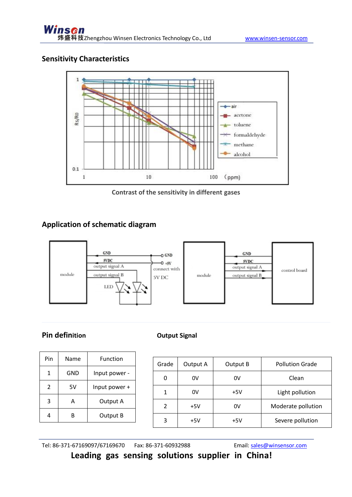#### **Sensitivity Characteristics**



**Contrast of the sensitivity in different gases**

#### **Application of schematic diagram**



#### **Pin definition**

| Pin            | Name | Function      |  |
|----------------|------|---------------|--|
| 1              | GND  | Input power - |  |
| $\overline{2}$ | 5V   | Input power + |  |
| 3              | А    | Output A      |  |
| R              |      | Output B      |  |

| Grade          | Output A | Output B | <b>Pollution Grade</b> |
|----------------|----------|----------|------------------------|
|                | 0V       | 0V       | Clean                  |
|                | 0V       | $+5V$    | Light pollution        |
| $\overline{2}$ | $+5V$    | 0V       | Moderate pollution     |
| 3              | $+5V$    | +5V      | Severe pollution       |

Tel: 86-371-67169097/67169670 Fax: 86-371-60932988 Email: [sales@winsensor.com](mailto:sales@winsensor.com)

**Leading gas sensing solutions supplier in China!**